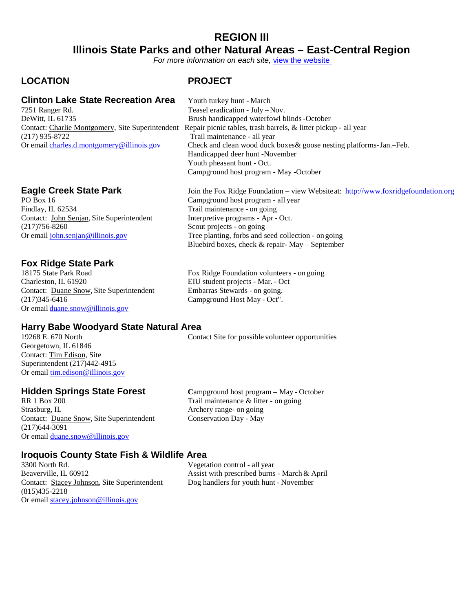### **REGION III Illinois State Parks and other Natural Areas – East-Central Region**

*For more information on each site,* [view the website](https://www.dnr..illinois.gov/Parks/Pages/default.aspx) 

### **LOCATION PROJECT**

### **Clinton Lake State Recreation Area** Youth turkey hunt - March 7251 Ranger Rd.<br>Teasel eradication - July -1

DeWitt, IL 61735<br>Contact: Charlie Montgomery, Site Superintendent Repair picnic tables, trash barrels, & litter picku (217) 935-8722 Trail maintenance - all year

Findlay, IL 62534 Trail maintenance - on going Contact: John Senjan, Site Superintendent Interpretive programs - Apr - Oct. (217)756-8260 Scout projects - on going

## **Fox Ridge State Park**

18175 State Park Road Fox Ridge Foundation volunteers - on going<br>
Charleston, IL 61920 EIU student projects - Mar. - Oct Contact: Duane Snow, Site Superintendent (217)345-6416 Campground Host May - Oct". Or email [duane.snow@illinois.gov](mailto:duane.snow@illinois.gov)

## **Harry Babe Woodyard State Natural Area**

Georgetown, IL 61846 Contact: Tim Edison, Site Superintendent (217)442-4915 Or email [tim.edison@illinois.gov](mailto:tim.edison@illinois.gov)

RR 1 Box 200 Trail maintenance & litter - on going<br>Strasburg, IL Archery range- on going Contact: Duane Snow, Site Superintendent Conservation Day - May (217)644-3091 Or email [duane.snow@illinois.gov](mailto:duane.snow@illinois.gov)

**Hidden Springs State Forest Campaground host program – May - October RR 1 Box 200 Campaground host program – May - October Campaground host program – May - October** Archery range- on going

### **Iroquois County State Fish & Wildlife Area**

3300 North Rd.<br>Beaverville, IL 60912 <br>Beaverville, IL 60912 <br>Assist with prescribed burns Contact: Stacey Johnson, Site Superintendent Dog handlers for youth hunt - November (815)435-2218 Or email [stacey.johnson@illinois.gov](mailto:stacey.johnson@illinois.gov)

Assist with prescribed burns - March & April

Teasel eradication - July – Nov. Repair picnic tables, trash barrels, & litter pickup - all year Or email [charles.d.montgomery@i](mailto:tom.jackson@illinois.gov)llinois.gov Check and clean wood duck boxes& goose nesting platforms-Jan.-Feb. Handicapped deer hunt -November Youth pheasant hunt - Oct. Campground host program - May -October

**Eagle Creek State Park** Join the Fox Ridge Foundation – view Websiteat: [http://www.foxridgefoundation.org](http://www.foxridgefoundation.org/)<br>PO Box 16<br>Campground host program - all year Campground host program - all year Or email [john.senjan@illinois.gov](mailto:john.senjan@illinois.gov) Tree planting, forbs and seed collection - on going Bluebird boxes, check & repair- May – September

EIU student projects - Mar. - Oct<br>Embarras Stewards - on going.

Contact Site for possible volunteer opportunities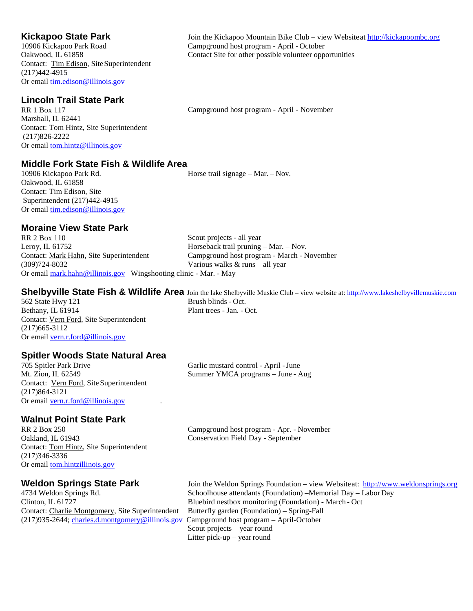Contact: Tim Edison, Site Superintendent (217)442-4915 Or email [tim.edison@illinois.gov](mailto:tim.edison@illinois.gov)

### **Lincoln Trail State Park**

RR 1 Box 117 Marshall, IL 62441 Contact: Tom Hintz, Site Superintendent (217)826-2222 Or email [tom.hintz@illinois.gov](mailto:glenn.lyons@illinois.gov)

### **Middle Fork State Fish & Wildlife Area**

Oakwood, IL 61858 Contact: Tim Edison, Site Superintendent (217)442-4915 Or email [tim.edison@illinois.gov](mailto:tim.edison@illinois.gov) Horse trail signage – Mar. – Nov.

### **Moraine View State Park**

RR 2 Box 110 Leroy, IL 61752 Contact: Mark Hahn, Site Superintendent (309)724-8032 Scout projects - all year Horseback trail pruning – Mar. – Nov. Campground host program - March - November Various walks & runs – all year Or email [mark.hahn@illinois.gov](mailto:tony.colvin@illinois.gov) Wingshooting clinic - Mar. - May

## **Shelbyville State Fish & Wildlife Area** Join the lake Shelbyville Muskie Club – view website at[: http://www.lakeshelbyvillemuskie.com](http://www.lakeshelbyvillemuskie.com/)

 $562$  State Hwy  $121$ Bethany, IL 61914 Plant trees - Jan. - Oct. Contact: Vern Ford, Site Superintendent (217)665-3112 Or email [vern.r.ford@illinois.gov](mailto:vern.r.ford@illinois.gov)

## **Spitler Woods State Natural Area**<br>705 Spitler Park Drive

705 Spitler Park Drive Garlic mustard control - April - June Mt. Zion, IL 62549 Summer YMCA programs - June - A Contact: Vern Ford, Site Superintendent (217)864-3121 Or email [vern.r.ford@illinois.gov](mailto:vern.r.ford@illinois.gov)

### **Walnut Point State Park**

RR 2 Box 250 Oakland, IL 61943 Contact: Tom Hintz, Site Superintendent (217)346-3336 Or email [tom.hintzillinois.gov](mailto:stan.duzan@illinois.gov)

Contact: Charlie Montgomery, Site Superintendent Butterfly garden (Foundation) – Spring-Fall (217)935-2644[; charles.d.montgomery@i](mailto:tom.jackson@illinois.gov)llinois.gov Campground host program – April-October

Summer YMCA programs – June - Aug

Campground host program - Apr. - November Conservation Field Day - September

**Weldon Springs State Park** Join the Weldon Springs Foundation – view Websiteat: [http://www.weldonsprings.org](http://www.weldonsprings.org/)<br>4734 Weldon Springs Rd. Schoolhouse attendants (Foundation) –Memorial Day – Labor Day Schoolhouse attendants (Foundation) –Memorial Day – LaborDay Clinton, IL 61727 Bluebird nestbox monitoring (Foundation) - March - Oct Scout projects – year round Litter pick-up – year round

**Kickapoo State Park** Join the Kickapoo Mountain Bike Club – view Websiteat **[http://kickapoombc.org](http://kickapoombc.org/)** 10906 Kickapoo Park Road Campground host program - April - October Campground host program - April - October Oakwood, IL 61858 Contact Site for other possible volunteer opportunities

Campground host program - April - November